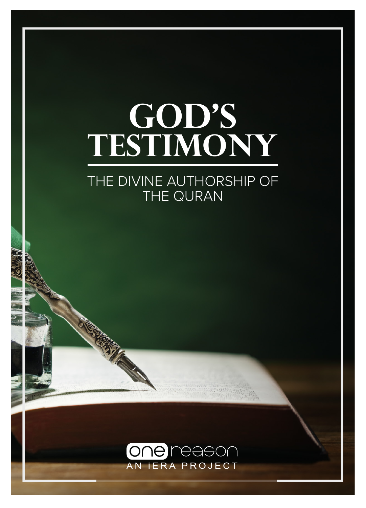# GOD'S **Testimony**

### THE DIVINE AUTHORSHIP OF THE QURAN



**RATTLE CARDS**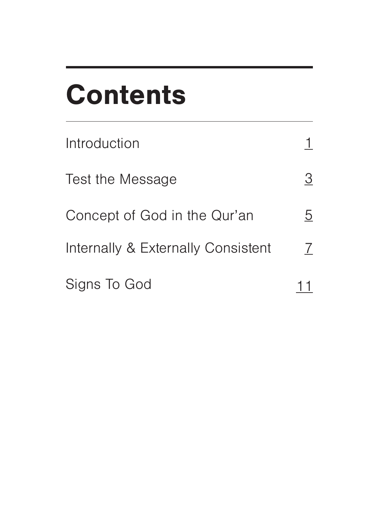## **Contents**

| Introduction                       |   |
|------------------------------------|---|
| Test the Message                   | 3 |
| Concept of God in the Qur'an       | 5 |
| Internally & Externally Consistent | 7 |
| Signs To God                       |   |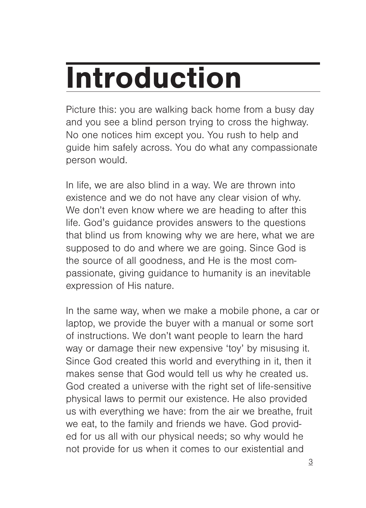# **Introduction**

Picture this: you are walking back home from a busy day and you see a blind person trying to cross the highway. No one notices him except you. You rush to help and guide him safely across. You do what any compassionate person would.

In life, we are also blind in a way. We are thrown into existence and we do not have any clear vision of why. We don't even know where we are heading to after this life. God's guidance provides answers to the questions that blind us from knowing why we are here, what we are supposed to do and where we are going. Since God is the source of all goodness, and He is the most compassionate, giving guidance to humanity is an inevitable expression of His nature.

In the same way, when we make a mobile phone, a car or laptop, we provide the buyer with a manual or some sort of instructions. We don't want people to learn the hard way or damage their new expensive 'toy' by misusing it. Since God created this world and everything in it, then it makes sense that God would tell us why he created us. God created a universe with the right set of life-sensitive physical laws to permit our existence. He also provided us with everything we have: from the air we breathe, fruit we eat, to the family and friends we have. God provided for us all with our physical needs; so why would he not provide for us when it comes to our existential and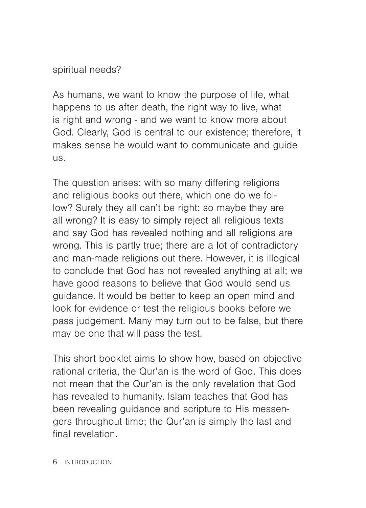#### spiritual needs?

As humans, we want to know the purpose of life, what happens to us after death, the right way to live, what is right and wrong - and we want to know more about God. Clearly, God is central to our existence; therefore, it makes sense he would want to communicate and guide us.

The question arises: with so many differing religions and religious books out there, which one do we follow? Surely they all can't be right: so maybe they are all wrong? It is easy to simply reject all religious texts and say God has revealed nothing and all religions are wrong. This is partly true; there are a lot of contradictory and man-made religions out there. However, it is illogical to conclude that God has not revealed anything at all; we have good reasons to believe that God would send us guidance. It would be better to keep an open mind and look for evidence or test the religious books before we pass judgement. Many may turn out to be false, but there may be one that will pass the test.

This short booklet aims to show how, based on objective rational criteria, the Qur'an is the word of God. This does not mean that the Qur'an is the only revelation that God has revealed to humanity. Islam teaches that God has been revealing guidance and scripture to His messengers throughout time; the Qur'an is simply the last and final revelation.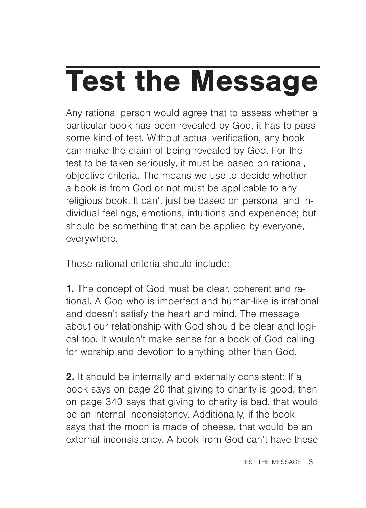# Test the Message

Any rational person would agree that to assess whether a particular book has been revealed by God, it has to pass some kind of test. Without actual verification, any book can make the claim of being revealed by God. For the test to be taken seriously, it must be based on rational, objective criteria. The means we use to decide whether a book is from God or not must be applicable to any religious book. It can't just be based on personal and individual feelings, emotions, intuitions and experience; but should be something that can be applied by everyone, everywhere.

These rational criteria should include:

1. The concept of God must be clear, coherent and rational. A God who is imperfect and human-like is irrational and doesn't satisfy the heart and mind. The message about our relationship with God should be clear and logical too. It wouldn't make sense for a book of God calling for worship and devotion to anything other than God.

2. It should be internally and externally consistent: If a book says on page 20 that giving to charity is good, then on page 340 says that giving to charity is bad, that would be an internal inconsistency. Additionally, if the book says that the moon is made of cheese, that would be an external inconsistency. A book from God can't have these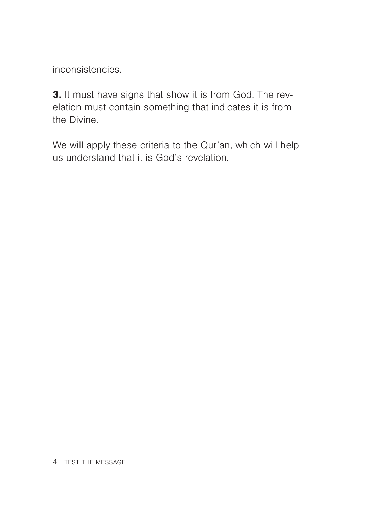inconsistencies.

3. It must have signs that show it is from God. The revelation must contain something that indicates it is from the Divine.

We will apply these criteria to the Qur'an, which will help us understand that it is God's revelation.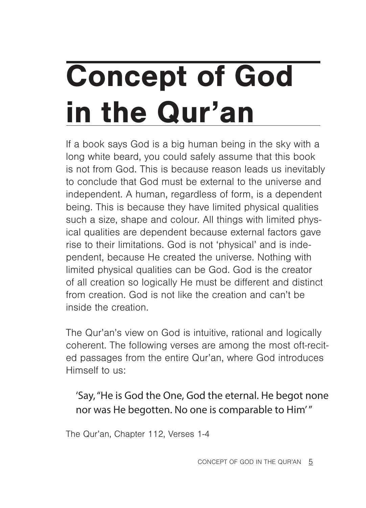# Concept of God in the Qur'an

If a book says God is a big human being in the sky with a long white beard, you could safely assume that this book is not from God. This is because reason leads us inevitably to conclude that God must be external to the universe and independent. A human, regardless of form, is a dependent being. This is because they have limited physical qualities such a size, shape and colour. All things with limited physical qualities are dependent because external factors gave rise to their limitations. God is not 'physical' and is independent, because He created the universe. Nothing with limited physical qualities can be God. God is the creator of all creation so logically He must be different and distinct from creation. God is not like the creation and can't be inside the creation.

The Qur'an's view on God is intuitive, rational and logically coherent. The following verses are among the most oft-recited passages from the entire Qur'an, where God introduces Himself to us:

### 'Say, "He is God the One, God the eternal. He begot none nor was He begotten. No one is comparable to Him' "

The Qur'an, Chapter 112, Verses 1-4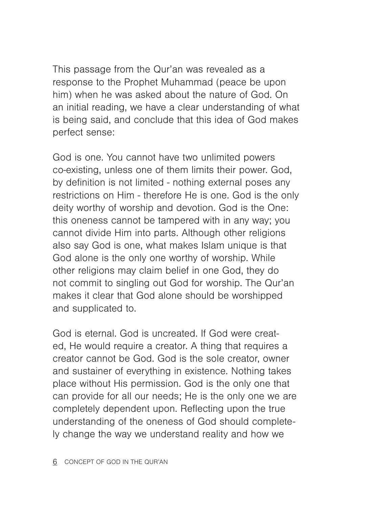This passage from the Qur'an was revealed as a response to the Prophet Muhammad (peace be upon him) when he was asked about the nature of God. On an initial reading, we have a clear understanding of what is being said, and conclude that this idea of God makes perfect sense:

God is one. You cannot have two unlimited powers co-existing, unless one of them limits their power. God, by definition is not limited - nothing external poses any restrictions on Him - therefore He is one. God is the only deity worthy of worship and devotion. God is the One: this oneness cannot be tampered with in any way; you cannot divide Him into parts. Although other religions also say God is one, what makes Islam unique is that God alone is the only one worthy of worship. While other religions may claim belief in one God, they do not commit to singling out God for worship. The Qur'an makes it clear that God alone should be worshipped and supplicated to.

God is eternal. God is uncreated. If God were created, He would require a creator. A thing that requires a creator cannot be God. God is the sole creator, owner and sustainer of everything in existence. Nothing takes place without His permission. God is the only one that can provide for all our needs; He is the only one we are completely dependent upon. Reflecting upon the true understanding of the oneness of God should completely change the way we understand reality and how we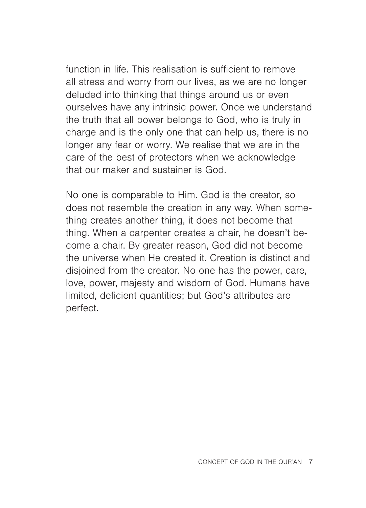function in life. This realisation is sufficient to remove all stress and worry from our lives, as we are no longer deluded into thinking that things around us or even ourselves have any intrinsic power. Once we understand the truth that all power belongs to God, who is truly in charge and is the only one that can help us, there is no longer any fear or worry. We realise that we are in the care of the best of protectors when we acknowledge that our maker and sustainer is God.

No one is comparable to Him. God is the creator, so does not resemble the creation in any way. When something creates another thing, it does not become that thing. When a carpenter creates a chair, he doesn't become a chair. By greater reason, God did not become the universe when He created it. Creation is distinct and disjoined from the creator. No one has the power, care, love, power, majesty and wisdom of God. Humans have limited, deficient quantities; but God's attributes are perfect.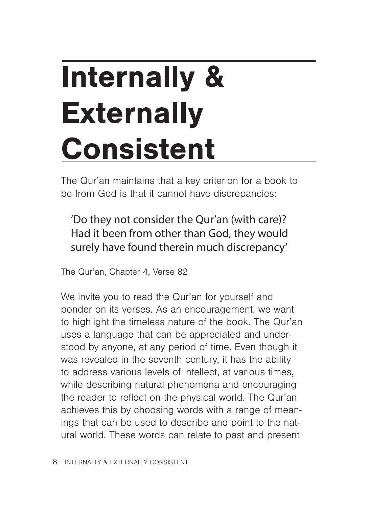# Internally & **Externally** Consistent

The Qur'an maintains that a key criterion for a book to be from God is that it cannot have discrepancies:

'Do they not consider the Qur'an (with care)? Had it been from other than God, they would surely have found therein much discrepancy'

The Qur'an, Chapter 4, Verse 82

We invite you to read the Qur'an for yourself and ponder on its verses. As an encouragement, we want to highlight the timeless nature of the book. The Qur'an uses a language that can be appreciated and understood by anyone, at any period of time. Even though it was revealed in the seventh century, it has the ability to address various levels of intellect, at various times, while describing natural phenomena and encouraging the reader to reflect on the physical world. The Qur'an achieves this by choosing words with a range of meanings that can be used to describe and point to the natural world. These words can relate to past and present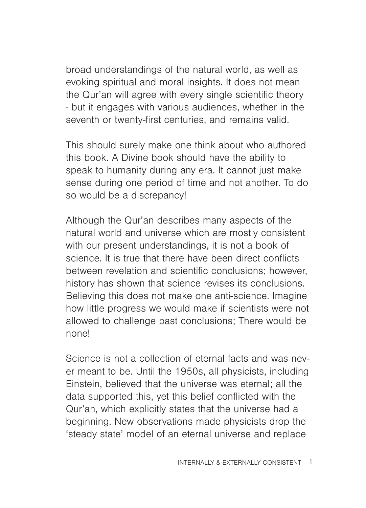broad understandings of the natural world, as well as evoking spiritual and moral insights. It does not mean the Qur'an will agree with every single scientific theory - but it engages with various audiences, whether in the seventh or twenty-first centuries, and remains valid.

This should surely make one think about who authored this book. A Divine book should have the ability to speak to humanity during any era. It cannot just make sense during one period of time and not another. To do so would be a discrepancy!

Although the Qur'an describes many aspects of the natural world and universe which are mostly consistent with our present understandings, it is not a book of science. It is true that there have been direct conflicts between revelation and scientific conclusions; however, history has shown that science revises its conclusions. Believing this does not make one anti-science. Imagine how little progress we would make if scientists were not allowed to challenge past conclusions; There would be none!

Science is not a collection of eternal facts and was never meant to be. Until the 1950s, all physicists, including Einstein, believed that the universe was eternal; all the data supported this, yet this belief conflicted with the Qur'an, which explicitly states that the universe had a beginning. New observations made physicists drop the 'steady state' model of an eternal universe and replace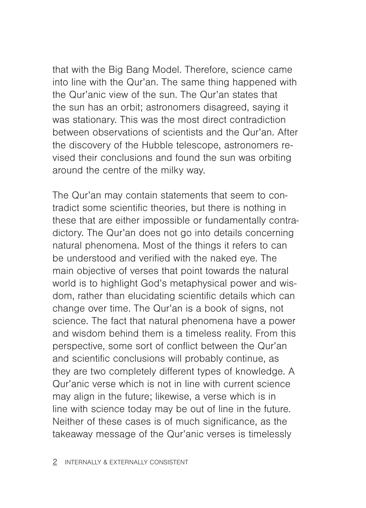that with the Big Bang Model. Therefore, science came into line with the Qur'an. The same thing happened with the Qur'anic view of the sun. The Qur'an states that the sun has an orbit; astronomers disagreed, saying it was stationary. This was the most direct contradiction between observations of scientists and the Qur'an. After the discovery of the Hubble telescope, astronomers revised their conclusions and found the sun was orbiting around the centre of the milky way.

The Qur'an may contain statements that seem to contradict some scientific theories, but there is nothing in these that are either impossible or fundamentally contradictory. The Qur'an does not go into details concerning natural phenomena. Most of the things it refers to can be understood and verified with the naked eye. The main objective of verses that point towards the natural world is to highlight God's metaphysical power and wisdom, rather than elucidating scientific details which can change over time. The Qur'an is a book of signs, not science. The fact that natural phenomena have a power and wisdom behind them is a timeless reality. From this perspective, some sort of conflict between the Qur'an and scientific conclusions will probably continue, as they are two completely different types of knowledge. A Qur'anic verse which is not in line with current science may align in the future; likewise, a verse which is in line with science today may be out of line in the future. Neither of these cases is of much significance, as the takeaway message of the Qur'anic verses is timelessly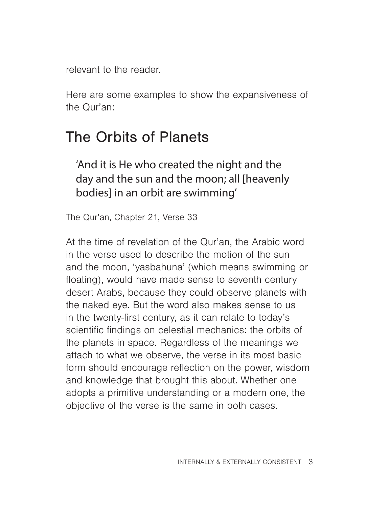relevant to the reader.

Here are some examples to show the expansiveness of the Qur'an:

## The Orbits of Planets

### 'And it is He who created the night and the day and the sun and the moon; all [heavenly bodies] in an orbit are swimming'

The Qur'an, Chapter 21, Verse 33

At the time of revelation of the Qur'an, the Arabic word in the verse used to describe the motion of the sun and the moon, 'yasbahuna' (which means swimming or floating), would have made sense to seventh century desert Arabs, because they could observe planets with the naked eye. But the word also makes sense to us in the twenty-first century, as it can relate to today's scientific findings on celestial mechanics: the orbits of the planets in space. Regardless of the meanings we attach to what we observe, the verse in its most basic form should encourage reflection on the power, wisdom and knowledge that brought this about. Whether one adopts a primitive understanding or a modern one, the objective of the verse is the same in both cases.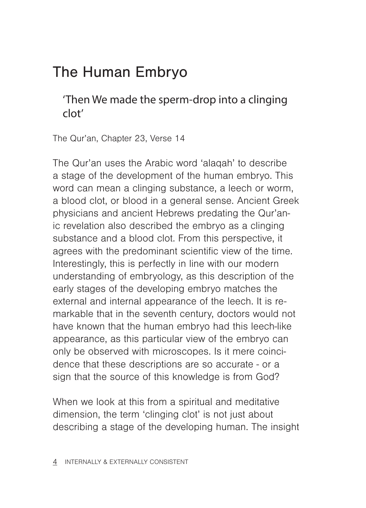## The Human Embryo

'Then We made the sperm-drop into a clinging clot'

The Qur'an, Chapter 23, Verse 14

The Qur'an uses the Arabic word 'alaqah' to describe a stage of the development of the human embryo. This word can mean a clinging substance, a leech or worm, a blood clot, or blood in a general sense. Ancient Greek physicians and ancient Hebrews predating the Qur'anic revelation also described the embryo as a clinging substance and a blood clot. From this perspective, it agrees with the predominant scientific view of the time. Interestingly, this is perfectly in line with our modern understanding of embryology, as this description of the early stages of the developing embryo matches the external and internal appearance of the leech. It is remarkable that in the seventh century, doctors would not have known that the human embryo had this leech-like appearance, as this particular view of the embryo can only be observed with microscopes. Is it mere coincidence that these descriptions are so accurate - or a sign that the source of this knowledge is from God?

When we look at this from a spiritual and meditative dimension, the term 'clinging clot' is not just about describing a stage of the developing human. The insight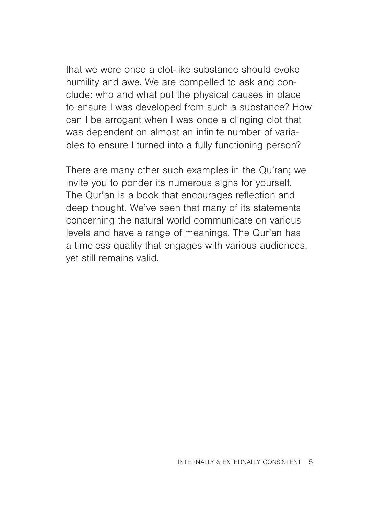that we were once a clot-like substance should evoke humility and awe. We are compelled to ask and conclude: who and what put the physical causes in place to ensure I was developed from such a substance? How can I be arrogant when I was once a clinging clot that was dependent on almost an infinite number of variables to ensure I turned into a fully functioning person?

There are many other such examples in the Qu'ran; we invite you to ponder its numerous signs for yourself. The Qur'an is a book that encourages reflection and deep thought. We've seen that many of its statements concerning the natural world communicate on various levels and have a range of meanings. The Qur'an has a timeless quality that engages with various audiences, yet still remains valid.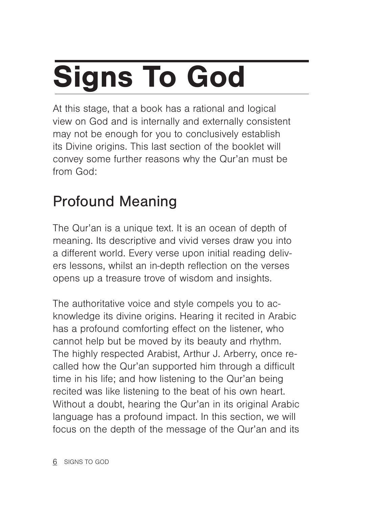# Signs To God

At this stage, that a book has a rational and logical view on God and is internally and externally consistent may not be enough for you to conclusively establish its Divine origins. This last section of the booklet will convey some further reasons why the Qur'an must be from God:

## Profound Meaning

The Qur'an is a unique text. It is an ocean of depth of meaning. Its descriptive and vivid verses draw you into a different world. Every verse upon initial reading delivers lessons, whilst an in-depth reflection on the verses opens up a treasure trove of wisdom and insights.

The authoritative voice and style compels you to acknowledge its divine origins. Hearing it recited in Arabic has a profound comforting effect on the listener, who cannot help but be moved by its beauty and rhythm. The highly respected Arabist, Arthur J. Arberry, once recalled how the Qur'an supported him through a difficult time in his life; and how listening to the Qur'an being recited was like listening to the beat of his own heart. Without a doubt, hearing the Qur'an in its original Arabic language has a profound impact. In this section, we will focus on the depth of the message of the Qur'an and its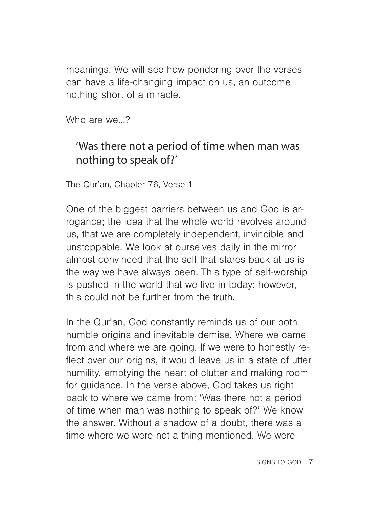meanings. We will see how pondering over the verses can have a life-changing impact on us, an outcome nothing short of a miracle.

Who are we ?

### 'Was there not a period of time when man was nothing to speak of?'

The Qur'an, Chapter 76, Verse 1

One of the biggest barriers between us and God is arrogance; the idea that the whole world revolves around us, that we are completely independent, invincible and unstoppable. We look at ourselves daily in the mirror almost convinced that the self that stares back at us is the way we have always been. This type of self-worship is pushed in the world that we live in today; however, this could not be further from the truth.

In the Qur'an, God constantly reminds us of our both humble origins and inevitable demise. Where we came from and where we are going. If we were to honestly reflect over our origins, it would leave us in a state of utter humility, emptying the heart of clutter and making room for guidance. In the verse above, God takes us right back to where we came from: 'Was there not a period of time when man was nothing to speak of?' We know the answer. Without a shadow of a doubt, there was a time where we were not a thing mentioned. We were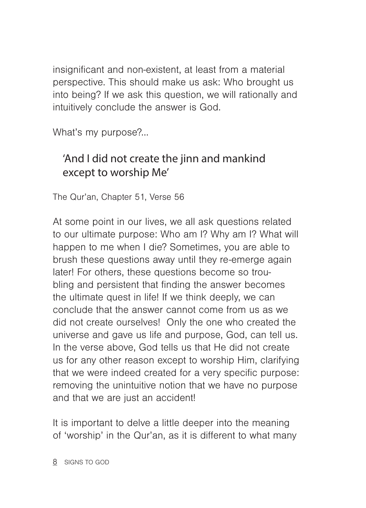insignificant and non-existent, at least from a material perspective. This should make us ask: Who brought us into being? If we ask this question, we will rationally and intuitively conclude the answer is God.

What's my purpose?...

### 'And I did not create the jinn and mankind except to worship Me'

The Qur'an, Chapter 51, Verse 56

At some point in our lives, we all ask questions related to our ultimate purpose: Who am I? Why am I? What will happen to me when I die? Sometimes, you are able to brush these questions away until they re-emerge again later! For others, these questions become so troubling and persistent that finding the answer becomes the ultimate quest in life! If we think deeply, we can conclude that the answer cannot come from us as we did not create ourselves! Only the one who created the universe and gave us life and purpose, God, can tell us. In the verse above, God tells us that He did not create us for any other reason except to worship Him, clarifying that we were indeed created for a very specific purpose: removing the unintuitive notion that we have no purpose and that we are just an accident!

It is important to delve a little deeper into the meaning of 'worship' in the Qur'an, as it is different to what many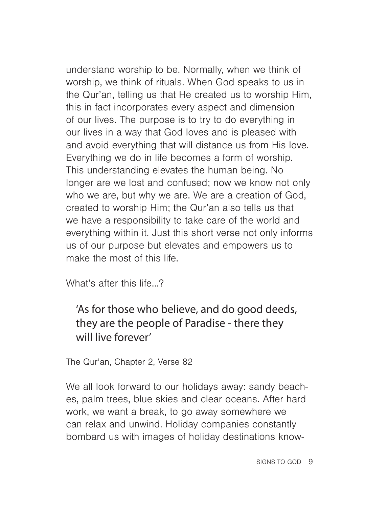understand worship to be. Normally, when we think of worship, we think of rituals. When God speaks to us in the Qur'an, telling us that He created us to worship Him, this in fact incorporates every aspect and dimension of our lives. The purpose is to try to do everything in our lives in a way that God loves and is pleased with and avoid everything that will distance us from His love. Everything we do in life becomes a form of worship. This understanding elevates the human being. No longer are we lost and confused; now we know not only who we are, but why we are. We are a creation of God, created to worship Him; the Qur'an also tells us that we have a responsibility to take care of the world and everything within it. Just this short verse not only informs us of our purpose but elevates and empowers us to make the most of this life.

What's after this life…?

### 'As for those who believe, and do good deeds, they are the people of Paradise - there they will live forever'

The Qur'an, Chapter 2, Verse 82

We all look forward to our holidays away: sandy beaches, palm trees, blue skies and clear oceans. After hard work, we want a break, to go away somewhere we can relax and unwind. Holiday companies constantly bombard us with images of holiday destinations know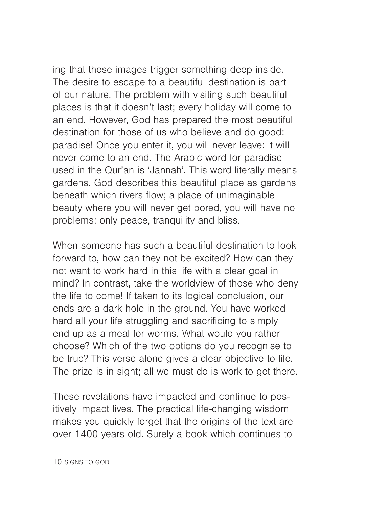ing that these images trigger something deep inside. The desire to escape to a beautiful destination is part of our nature. The problem with visiting such beautiful places is that it doesn't last; every holiday will come to an end. However, God has prepared the most beautiful destination for those of us who believe and do good: paradise! Once you enter it, you will never leave: it will never come to an end. The Arabic word for paradise used in the Qur'an is 'Jannah'. This word literally means gardens. God describes this beautiful place as gardens beneath which rivers flow; a place of unimaginable beauty where you will never get bored, you will have no problems: only peace, tranquility and bliss.

When someone has such a beautiful destination to look forward to, how can they not be excited? How can they not want to work hard in this life with a clear goal in mind? In contrast, take the worldview of those who deny the life to come! If taken to its logical conclusion, our ends are a dark hole in the ground. You have worked hard all your life struggling and sacrificing to simply end up as a meal for worms. What would you rather choose? Which of the two options do you recognise to be true? This verse alone gives a clear objective to life. The prize is in sight; all we must do is work to get there.

These revelations have impacted and continue to positively impact lives. The practical life-changing wisdom makes you quickly forget that the origins of the text are over 1400 years old. Surely a book which continues to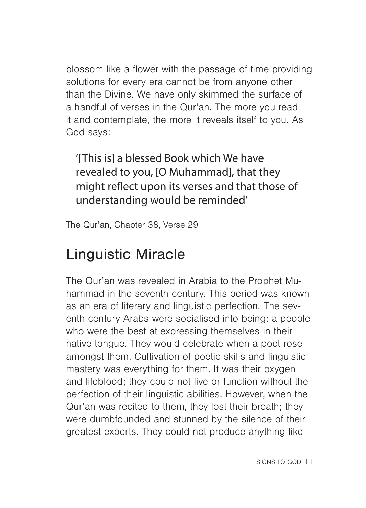blossom like a flower with the passage of time providing solutions for every era cannot be from anyone other than the Divine. We have only skimmed the surface of a handful of verses in the Qur'an. The more you read it and contemplate, the more it reveals itself to you. As God says:

'[This is] a blessed Book which We have revealed to you, [O Muhammad], that they might reflect upon its verses and that those of understanding would be reminded'

The Qur'an, Chapter 38, Verse 29

## Linguistic Miracle

The Qur'an was revealed in Arabia to the Prophet Muhammad in the seventh century. This period was known as an era of literary and linguistic perfection. The seventh century Arabs were socialised into being: a people who were the best at expressing themselves in their native tongue. They would celebrate when a poet rose amongst them. Cultivation of poetic skills and linguistic mastery was everything for them. It was their oxygen and lifeblood; they could not live or function without the perfection of their linguistic abilities. However, when the Qur'an was recited to them, they lost their breath; they were dumbfounded and stunned by the silence of their greatest experts. They could not produce anything like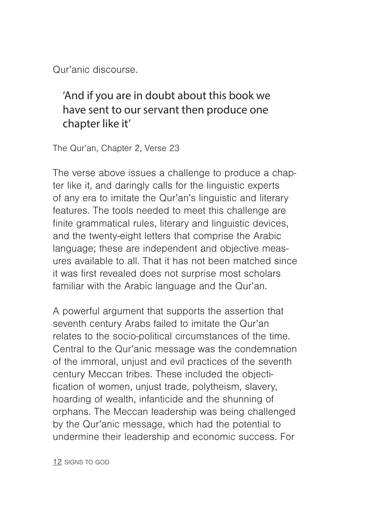Qur'anic discourse.

### 'And if you are in doubt about this book we have sent to our servant then produce one chapter like it'

The Qur'an, Chapter 2, Verse 23

The verse above issues a challenge to produce a chapter like it, and daringly calls for the linguistic experts of any era to imitate the Qur'an's linguistic and literary features. The tools needed to meet this challenge are finite grammatical rules, literary and linguistic devices, and the twenty-eight letters that comprise the Arabic language; these are independent and objective measures available to all. That it has not been matched since it was first revealed does not surprise most scholars familiar with the Arabic language and the Qur'an.

A powerful argument that supports the assertion that seventh century Arabs failed to imitate the Qur'an relates to the socio-political circumstances of the time. Central to the Qur'anic message was the condemnation of the immoral, unjust and evil practices of the seventh century Meccan tribes. These included the objectification of women, unjust trade, polytheism, slavery, hoarding of wealth, infanticide and the shunning of orphans. The Meccan leadership was being challenged by the Qur'anic message, which had the potential to undermine their leadership and economic success. For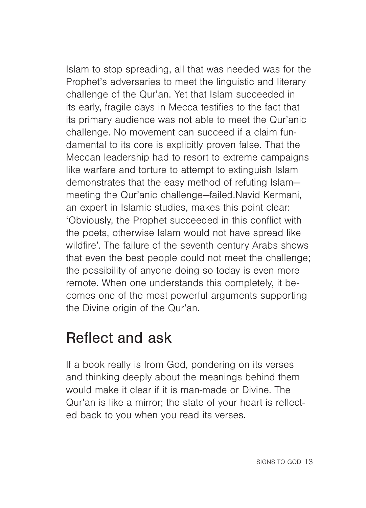Islam to stop spreading, all that was needed was for the Prophet's adversaries to meet the linguistic and literary challenge of the Qur'an. Yet that Islam succeeded in its early, fragile days in Mecca testifies to the fact that its primary audience was not able to meet the Qur'anic challenge. No movement can succeed if a claim fundamental to its core is explicitly proven false. That the Meccan leadership had to resort to extreme campaigns like warfare and torture to attempt to extinguish Islam demonstrates that the easy method of refuting Islam meeting the Qur'anic challenge—failed.Navid Kermani, an expert in Islamic studies, makes this point clear: 'Obviously, the Prophet succeeded in this conflict with the poets, otherwise Islam would not have spread like wildfire'. The failure of the seventh century Arabs shows that even the best people could not meet the challenge; the possibility of anyone doing so today is even more remote. When one understands this completely, it becomes one of the most powerful arguments supporting the Divine origin of the Qur'an.

### Reflect and ask

If a book really is from God, pondering on its verses and thinking deeply about the meanings behind them would make it clear if it is man-made or Divine. The Qur'an is like a mirror; the state of your heart is reflected back to you when you read its verses.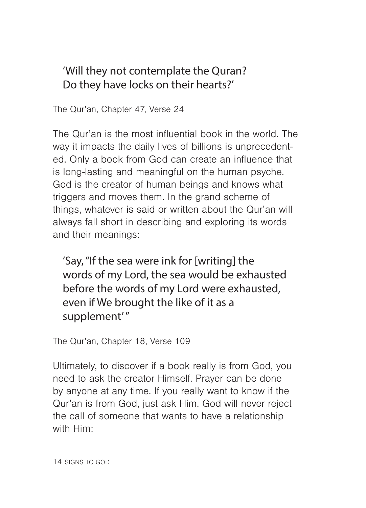### 'Will they not contemplate the Quran? Do they have locks on their hearts?'

The Qur'an, Chapter 47, Verse 24

The Qur'an is the most influential book in the world. The way it impacts the daily lives of billions is unprecedented. Only a book from God can create an influence that is long-lasting and meaningful on the human psyche. God is the creator of human beings and knows what triggers and moves them. In the grand scheme of things, whatever is said or written about the Qur'an will always fall short in describing and exploring its words and their meanings:

'Say, "If the sea were ink for [writing] the words of my Lord, the sea would be exhausted before the words of my Lord were exhausted, even if We brought the like of it as a supplement' "

The Qur'an, Chapter 18, Verse 109

Ultimately, to discover if a book really is from God, you need to ask the creator Himself. Prayer can be done by anyone at any time. If you really want to know if the Qur'an is from God, just ask Him. God will never reject the call of someone that wants to have a relationship with Him:

14 SIGNS TO GOD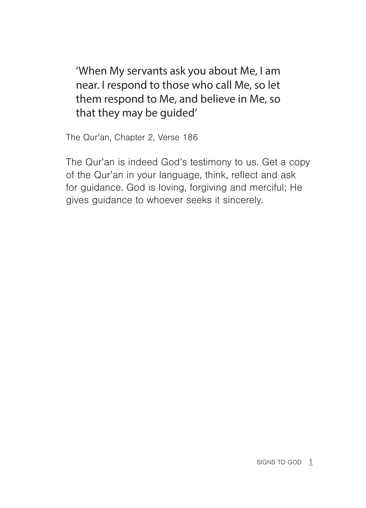'When My servants ask you about Me, I am near. I respond to those who call Me, so let them respond to Me, and believe in Me, so that they may be guided'

The Qur'an, Chapter 2, Verse 186

The Qur'an is indeed God's testimony to us. Get a copy of the Qur'an in your language, think, reflect and ask for guidance. God is loving, forgiving and merciful; He gives guidance to whoever seeks it sincerely.